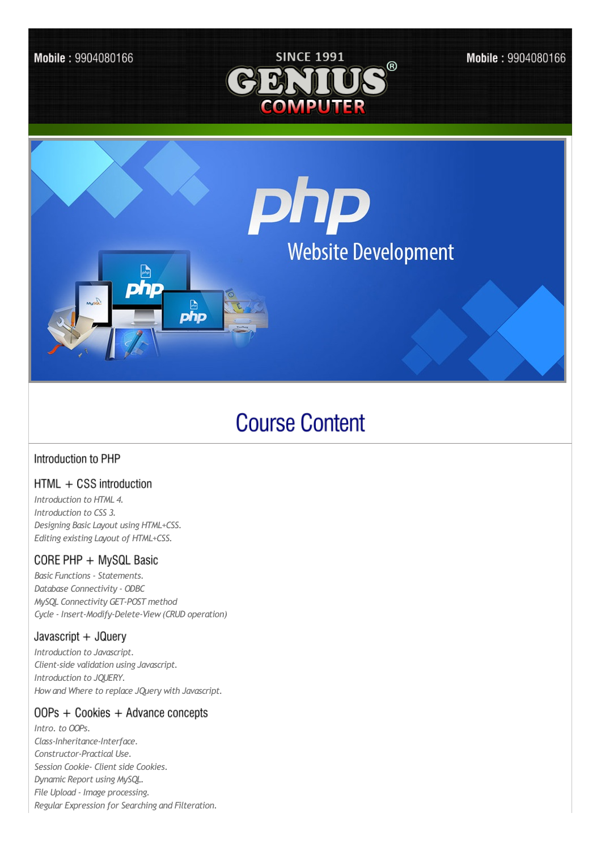Mobile: 9904080166



Mobile: 9904080166



# **Course Content**

#### Introduction to PHP

#### HTML + CSS introduction

*Introduction to HTML 4. Introduction to CSS 3. Designing Basic Layout using HTML+CSS. Editing existing Layout of HTML+CSS.*

## CORE PHP + MySQL Basic

*Basic Functions - Statements. Database Connectivity - ODBC MySQL Connectivity GET-POST method Cycle - Insert-Modify-Delete-View(CRUD operation)*

#### Javascript + JQuery

*Introduction to Javascript. Client-side validation using Javascript. Introduction to JQUERY. Howand Where to replace JQuery with Javascript.*

#### $OOPs + Cookies + Advance concepts$

*Intro. to OOPs. Class-Inheritance-Interface. Constructor-Practical Use. Session Cookie- Client side Cookies. Dynamic Report using MySQL. File Upload - Image processing. Regular Expression for Searching and Filteration.*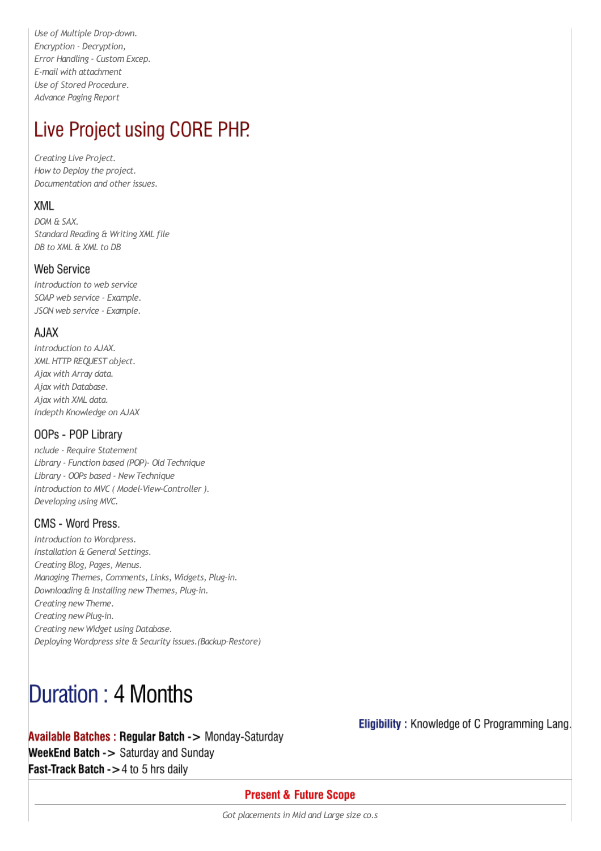*Use of Multiple Drop-down. Encryption - Decryption, Error Handling - Custom Excep. E-mail with attachment Use of Stored Procedure. Advance Paging Report*

# Live Project using CORE PHP.

*Creating Live Project. Howto Deploy the project. Documentation and other issues.*

#### **XML**

*DOM & SAX. Standard Reading & Writing XML file DB to XML & XML to DB*

#### **Web Service**

*Introduction to web service SOAP web service - Example. JSON web service - Example.*

#### A.IAX

*Introduction to AJAX. XML HTTP REQUEST object. Ajax with Array data. Ajax with Database. Ajax with XML data. Indepth Knowledge on AJAX*

## **OOPs - POP Library**

*nclude - Require Statement Library - Function based (POP)- Old Technique Library - OOPs based - NewTechnique Introduction to MVC ( Model-View-Controller ). Developing using MVC.*

## CMS - Word Press.

*Introduction to Wordpress. Installation & General Settings. Creating Blog, Pages, Menus. Managing Themes, Comments, Links, Widgets, Plug-in. Downloading & Installing newThemes, Plug-in. Creating newTheme. Creating newPlug-in. Creating newWidget using Database. Deploying Wordpress site & Security issues.(Backup-Restore)*

# Duration: 4 Months

**Available Batches: Regular Batch -> Monday-Saturday** WeekEnd Batch -> Saturday and Sunday Fast-Track Batch -> 4 to 5 hrs daily

Eligibility: Knowledge of C Programming Lang.

#### **Present & Future Scope**